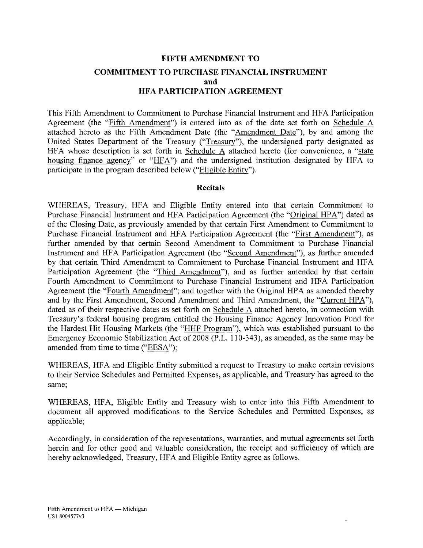# **FIFTH AMENDMENT TO COMMITMENT TO PURCHASE FINANCIAL INSTRUMENT and HFA PARTICIPATION AGREEMENT**

This Fifth Amendment to Commitment to Purchase Financial Instrument and HFA Participation Agreement (the "Fifth Amendment") is entered into as of the date set forth on Schedule  $\overline{A}$ attached hereto as the Fifth Amendment Date (the "Amendment Date"), by and among the United States Department of the Treasury ("Treasury"), the undersigned party designated as HFA whose description is set forth in Schedule A attached hereto (for convenience, a "state housing finance agency" or "HFA") and the undersigned institution designated by HFA to participate in the program described below ("Eligible Entity").

#### **Recitals**

WHEREAS, Treasury, HFA and Eligible Entity entered into that certain Commitment to Purchase Financial Instrument and HFA Participation Agreement (the "Original HPA") dated as of the Closing Date, as previously amended by that certain First Amendment to Commitment to Purchase Financial Instrument and HFA Participation Agreement (the "First Amendment"), as further amended by that certain Second Amendment to Commitment to Purchase Financial Instrument and HFA Participation Agreement (the "Second Amendment"), as further amended by that certain Third Amendment to Commitment to Purchase Financial Instrument and HFA Participation Agreement (the "Third Amendment"), and as further amended by that certain Fourth Amendment to Commitment to Purchase Financial Instrument and HFA Participation Agreement (the "Fourth Amendment"; and together with the Original HPA as amended thereby and by the First Amendment, Second Amendment and Third Amendment, the "Current HPA"), dated as of their respective dates as set forth on Schedule A attached hereto, in connection with Treasury's federal housing program entitled the Housing Finance Agency Innovation Fund for the Hardest Hit Housing Markets (the "HHF Program"), which was established pursuant to the Emergency Economic Stabilization Act of 2008 (P.L. 110-343), as amended, as the same may be amended from time to time ("EESA");

WHEREAS, HFA and Eligible Entity submitted a request to Treasury to make certain revisions to their Service Schedules and Permitted Expenses, as applicable, and Treasury has agreed to the same;

WHEREAS, HFA, Eligible Entity and Treasury wish to enter into this Fifth Amendment to document all approved modifications to the Service Schedules and Permitted Expenses, as applicable;

Accordingly, in consideration of the representations, warranties, and mutual agreements set forth herein and for other good and valuable consideration, the receipt and sufficiency of which are hereby acknowledged, Treasury, HFA and Eligible Entity agree as follows.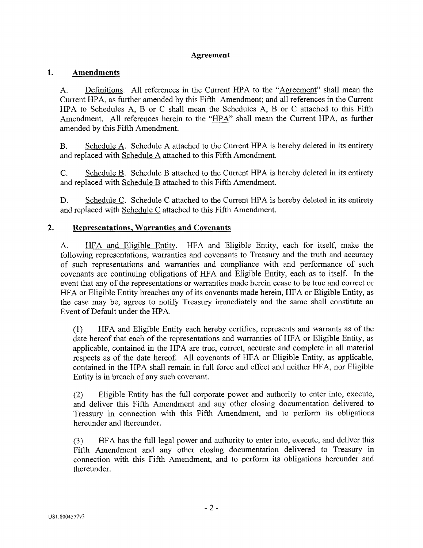#### **Agreement**

#### 1. **Amendments**

A. Definitions. All references in the Current HPA to the "Agreement" shall mean the Current HPA, as further amended by this Fifth Amendment; and all references in the Current HPA to Schedules A, B or C shall mean the Schedules A, B or C attached to this Fifth Amendment. All references herein to the "HPA" shall mean the Current HPA, as further amended by this Fifth Amendment.

B. Schedule A. Schedule A attached to the Current HPA is hereby deleted in its entirety and replaced with Schedule A attached to this Fifth Amendment.

C. Schedule B. Schedule B attached to the Current HPA is hereby deleted in its entirety and replaced with Schedule B attached to this Fifth Amendment.

D. Schedule C. Schedule C attached to the Current HPA is hereby deleted in its entirety and replaced with Schedule C attached to this Fifth Amendment.

#### $2.$ **Representations, Warranties and Covenants**

A. HFA and Eligible Entity. HFA and Eligible Entity, each for itself, make the following representations, warranties and covenants to Treasury and the truth and accuracy of such representations and warranties and compliance with and performance of such covenants are continuing obligations of HFA and Eligible Entity, each as to itself. In the event that any of the representations or warranties made herein cease to be true and correct or HFA or Eligible Entity breaches any of its covenants made herein, HFA or Eligible Entity, as the case may be, agrees to notify Treasury immediately and the same shall constitute an Event of Default under the HPA.

(1) HFA and Eligible Entity each hereby certifies, represents and warrants as of the date hereof that each of the representations and warranties of HFA or Eligible Entity, as applicable, contained in the HPA are true, correct, accurate and complete in all material respects as of the date hereof. All covenants of HFA or Eligible Entity, as applicable, contained in the HPA shall remain in full force and effect and neither HFA, nor Eligible Entity is in breach of any such covenant.

(2) Eligible Entity has the full corporate power and authority to enter into, execute, and deliver this Fifth Amendment and any other closing documentation delivered to Treasury in connection with this Fifth Amendment, and to perform its obligations hereunder and thereunder.

(3) HFA has the full legal power and authority to enter into, execute, and deliver this Fifth Amendment and any other closing documentation delivered to Treasury in connection with this Fifth Amendment, and to perform its obligations hereunder and thereunder.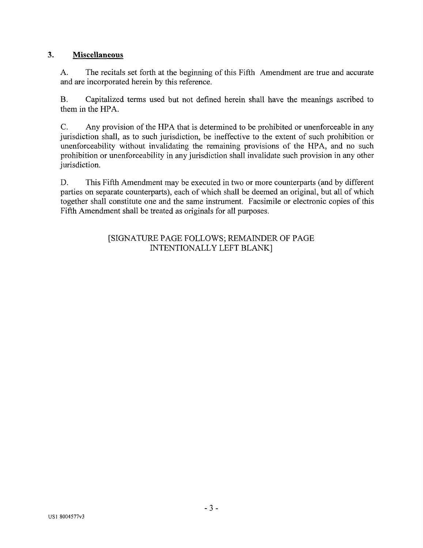#### **3. Miscellaneous**

A. The recitals set forth at the beginning of this Fifth Amendment are true and accurate and are incorporated herein by this reference.

B. Capitalized terms used but not defined herein shall have the meanings ascribed to them in the HPA.

C. Any provision of the HPA that is determined to be prohibited or unenforceable in any jurisdiction shall, as to such jurisdiction, be ineffective to the extent of such prohibition or unenforceability without invalidating the remaining provisions of the HPA, and no such prohibition or unenforceability in any jurisdiction shall invalidate such provision in any other jurisdiction.

D. This Fifth Amendment may be executed in two or more counterparts (and by different parties on separate counterparts), each of which shall be deemed an original, but all of which together shall constitute one and the same instrument. Facsimile or electronic copies of this Fifth Amendment shall be treated as originals for all purposes.

#### [SIGNATURE PAGE FOLLOWS; REMAINDER OF PAGE INTENTIONALLY LEFT BLANK]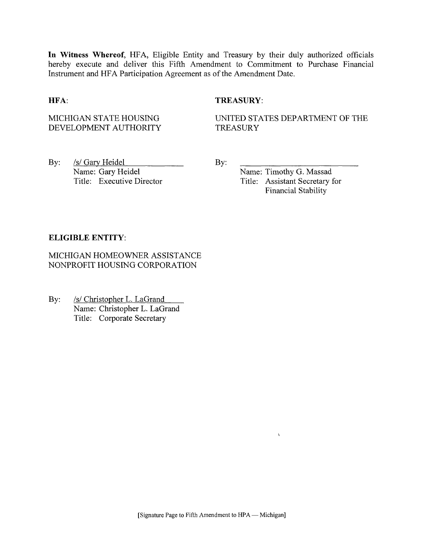**In Witness Whereof,** HFA, Eligible Entity and Treasury by their duly authorized officials hereby execute and deliver this Fifth Amendment to Commitment to Purchase Financial Instrument and HFA Participation Agreement as of the Amendment Date.

#### **HFA:** TREASURY:

MICHIGAN STATE HOUSING DEVELOPMENT AUTHORITY UNITED STATES DEPARTMENT OF THE **TREASURY** 

By: /s/ Gary Heidel Name: Gary Heidel Title: Executive Director By:

Name: Timothy G. Massad Title: Assistant Secretary for Financial Stability

 $\chi$ 

#### **ELIGIBLE ENTITY:**

MICHIGAN HOMEOWNER ASSISTANCE NONPROFIT HOUSING CORPORATION

By: *Is/* Christopher L. LaGrand Name: Christopher L. LaGrand Title: Corporate Secretary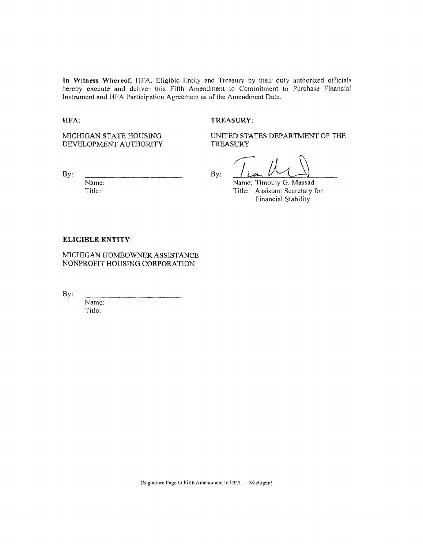In Witness Whereof, HFA. Eligible Entity and Treasury by their duly authorized officials hereby execute and deliver this Fifth Amendment to Commitment to Purchase Financial Instrument and UFA Participation Agreement as of the Amendment Date.

#### HFA: TREASURY:

MICHIGAN STATE HOUSING DEVELOPMENT AUTHORITY UNITED STATES DEPARTMENT OF THE **TREASURY** 

Name: Title:

By:  $\frac{1}{2}$  **By:**  $\frac{1}{2}$ Name: Timothy G. Massad Title: Assistant Secretary for

Financial Stability

#### ELIGIBLE ENTITY:

MICHIGAN HOMEOWNER ASSISTANCE NONPROFIT HOUSING CORPORATION

**By:** 

Name: Tillc: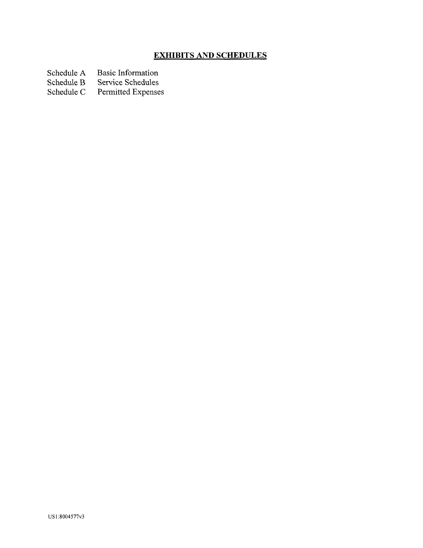# **EXHIBITS AND SCHEDULES**

Schedule A Basic Information<br>Schedule B Service Schedules

Schedule B Service Schedules<br>Schedule C Permitted Expense

Permitted Expenses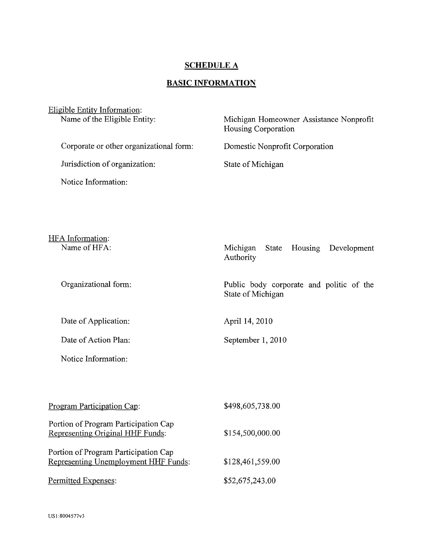# **SCHEDULE A**

# **BASIC INFORMATION**

| Eligible Entity Information:<br>Name of the Eligible Entity: | Michigan Homeowner Assistance Nonprofit<br>Housing Corporation |
|--------------------------------------------------------------|----------------------------------------------------------------|
| Corporate or other organizational form:                      | Domestic Nonprofit Corporation                                 |
| Jurisdiction of organization:                                | State of Michigan                                              |
| Notice Information:                                          |                                                                |
|                                                              |                                                                |

HFA Information:<br>Name of HFA: Michigan State Housing Development Authority Organizational form: Public body corporate and politic of the State of Michigan

September 1, 2010

Date of Application: April 14, 2010

Date of Action Plan:

Notice Information:

| Program Participation Cap:                                                   | \$498,605,738.00 |
|------------------------------------------------------------------------------|------------------|
| Portion of Program Participation Cap<br>Representing Original HHF Funds:     | \$154,500,000.00 |
| Portion of Program Participation Cap<br>Representing Unemployment HHF Funds: | \$128,461,559.00 |
| Permitted Expenses:                                                          | \$52,675,243.00  |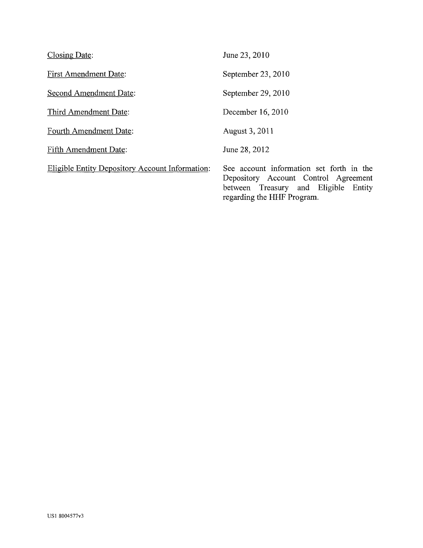| <b>Closing Date:</b>                                   | June 23, 2010                                                                                                                                          |
|--------------------------------------------------------|--------------------------------------------------------------------------------------------------------------------------------------------------------|
| <b>First Amendment Date:</b>                           | September 23, 2010                                                                                                                                     |
| Second Amendment Date:                                 | September 29, 2010                                                                                                                                     |
| Third Amendment Date:                                  | December 16, 2010                                                                                                                                      |
| Fourth Amendment Date:                                 | August 3, 2011                                                                                                                                         |
| Fifth Amendment Date:                                  | June 28, 2012                                                                                                                                          |
| <b>Eligible Entity Depository Account Information:</b> | See account information set forth in the<br>Depository Account Control Agreement<br>between Treasury and Eligible Entity<br>regarding the HHF Program. |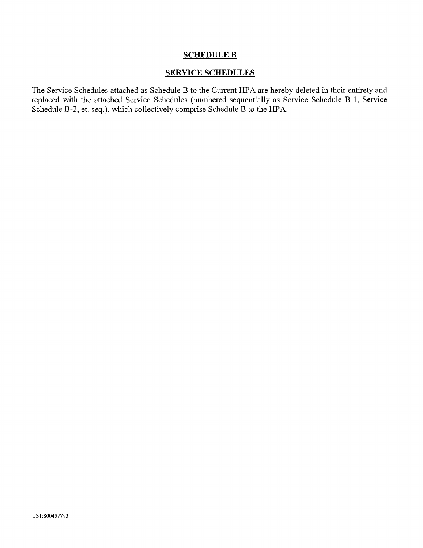# SCHEDULE B

#### SERVICE SCHEDULES

The Service Schedules attached as Schedule B to the Current HPA are hereby deleted in their entirety and replaced with the attached Service Schedules (numbered sequentially as Service Schedule B-l, Service Schedule B-2, et. seq.), which collectively comprise Schedule B to the HPA.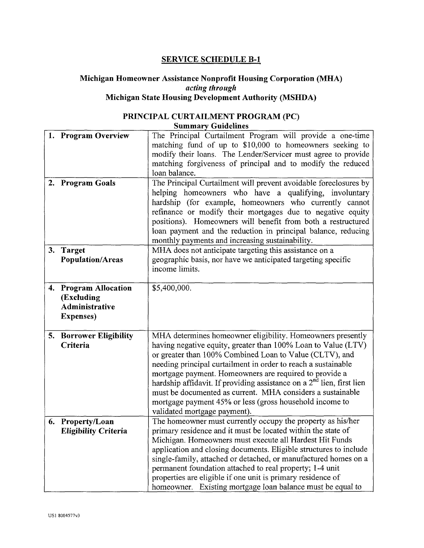# **SERVICE SCHEDULE B-l**

#### **Michigan Homeowner Assistance Nonprofit Housing Corporation (MHA)**  *acting through*  **Michigan State Housing Development Authority (MSHDA)**

#### **PRINCIPAL CURTAILMENT PROGRAM (PC) Summary Guidelines**

| 1. Program Overview                                                        | The Principal Curtailment Program will provide a one-time<br>matching fund of up to \$10,000 to homeowners seeking to<br>modify their loans. The Lender/Servicer must agree to provide<br>matching forgiveness of principal and to modify the reduced<br>loan balance.                                                                                                                                                                                                                                                                                          |
|----------------------------------------------------------------------------|-----------------------------------------------------------------------------------------------------------------------------------------------------------------------------------------------------------------------------------------------------------------------------------------------------------------------------------------------------------------------------------------------------------------------------------------------------------------------------------------------------------------------------------------------------------------|
| 2. Program Goals                                                           | The Principal Curtailment will prevent avoidable foreclosures by<br>helping homeowners who have a qualifying, involuntary<br>hardship (for example, homeowners who currently cannot<br>refinance or modify their mortgages due to negative equity<br>positions). Homeowners will benefit from both a restructured<br>loan payment and the reduction in principal balance, reducing<br>monthly payments and increasing sustainability.                                                                                                                           |
| 3. Target<br><b>Population/Areas</b>                                       | MHA does not anticipate targeting this assistance on a<br>geographic basis, nor have we anticipated targeting specific<br>income limits.                                                                                                                                                                                                                                                                                                                                                                                                                        |
| 4. Program Allocation<br>(Excluding<br>Administrative<br><b>Expenses</b> ) | \$5,400,000.                                                                                                                                                                                                                                                                                                                                                                                                                                                                                                                                                    |
| 5. Borrower Eligibility<br>Criteria                                        | MHA determines homeowner eligibility. Homeowners presently<br>having negative equity, greater than 100% Loan to Value (LTV)<br>or greater than 100% Combined Loan to Value (CLTV), and<br>needing principal curtailment in order to reach a sustainable<br>mortgage payment. Homeowners are required to provide a<br>hardship affidavit. If providing assistance on a 2 <sup>nd</sup> lien, first lien<br>must be documented as current. MHA considers a sustainable<br>mortgage payment 45% or less (gross household income to<br>validated mortgage payment). |
| 6. Property/Loan<br><b>Eligibility Criteria</b>                            | The homeowner must currently occupy the property as his/her<br>primary residence and it must be located within the state of<br>Michigan. Homeowners must execute all Hardest Hit Funds<br>application and closing documents. Eligible structures to include<br>single-family, attached or detached, or manufactured homes on a<br>permanent foundation attached to real property; 1-4 unit<br>properties are eligible if one unit is primary residence of<br>homeowner. Existing mortgage loan balance must be equal to                                         |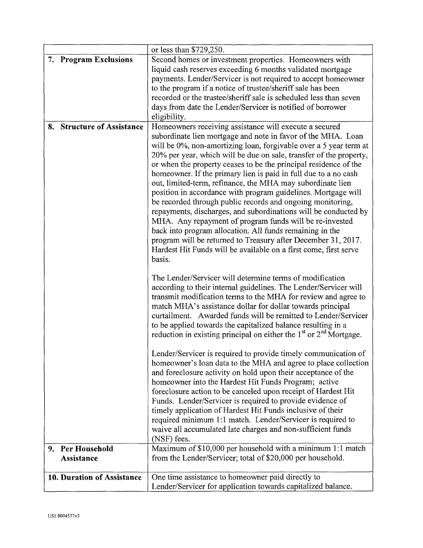|                                          | or less than \$729,250.                                                                                                                                                                                                                                                                                                                                                                                                                                                                                                                                                                                                                                                                                                                                                                                                                                                                                                                        |
|------------------------------------------|------------------------------------------------------------------------------------------------------------------------------------------------------------------------------------------------------------------------------------------------------------------------------------------------------------------------------------------------------------------------------------------------------------------------------------------------------------------------------------------------------------------------------------------------------------------------------------------------------------------------------------------------------------------------------------------------------------------------------------------------------------------------------------------------------------------------------------------------------------------------------------------------------------------------------------------------|
| 7. Program Exclusions                    | Second homes or investment properties. Homeowners with<br>liquid cash reserves exceeding 6 months validated mortgage<br>payments. Lender/Servicer is not required to accept homeowner<br>to the program if a notice of trustee/sheriff sale has been<br>recorded or the trustee/sheriff sale is scheduled less than seven<br>days from date the Lender/Servicer is notified of borrower<br>eligibility.                                                                                                                                                                                                                                                                                                                                                                                                                                                                                                                                        |
| 8. Structure of Assistance               | Homeowners receiving assistance will execute a secured<br>subordinate lien mortgage and note in favor of the MHA. Loan<br>will be 0%, non-amortizing loan, forgivable over a 5 year term at<br>20% per year, which will be due on sale, transfer of the property,<br>or when the property ceases to be the principal residence of the<br>homeowner. If the primary lien is paid in full due to a no cash<br>out, limited-term, refinance, the MHA may subordinate lien<br>position in accordance with program guidelines. Mortgage will<br>be recorded through public records and ongoing monitoring,<br>repayments, discharges, and subordinations will be conducted by<br>MHA. Any repayment of program funds will be re-invested<br>back into program allocation. All funds remaining in the<br>program will be returned to Treasury after December 31, 2017.<br>Hardest Hit Funds will be available on a first come, first serve<br>basis. |
|                                          | The Lender/Servicer will determine terms of modification<br>according to their internal guidelines. The Lender/Servicer will<br>transmit modification terms to the MHA for review and agree to<br>match MHA's assistance dollar for dollar towards principal<br>curtailment. Awarded funds will be remitted to Lender/Servicer<br>to be applied towards the capitalized balance resulting in a<br>reduction in existing principal on either the $1st$ or $2nd$ Mortgage.                                                                                                                                                                                                                                                                                                                                                                                                                                                                       |
|                                          | Lender/Servicer is required to provide timely communication of<br>homeowner's loan data to the MHA and agree to place collection<br>and foreclosure activity on hold upon their acceptance of the<br>homeowner into the Hardest Hit Funds Program; active<br>foreclosure action to be canceled upon receipt of Hardest Hit<br>Funds. Lender/Servicer is required to provide evidence of<br>timely application of Hardest Hit Funds inclusive of their<br>required minimum 1:1 match. Lender/Servicer is required to<br>waive all accumulated late charges and non-sufficient funds<br>(NSF) fees.                                                                                                                                                                                                                                                                                                                                              |
| <b>Per Household</b><br>9.<br>Assistance | Maximum of \$10,000 per household with a minimum 1:1 match<br>from the Lender/Servicer; total of \$20,000 per household.                                                                                                                                                                                                                                                                                                                                                                                                                                                                                                                                                                                                                                                                                                                                                                                                                       |
| 10. Duration of Assistance               | One time assistance to homeowner paid directly to<br>Lender/Servicer for application towards capitalized balance.                                                                                                                                                                                                                                                                                                                                                                                                                                                                                                                                                                                                                                                                                                                                                                                                                              |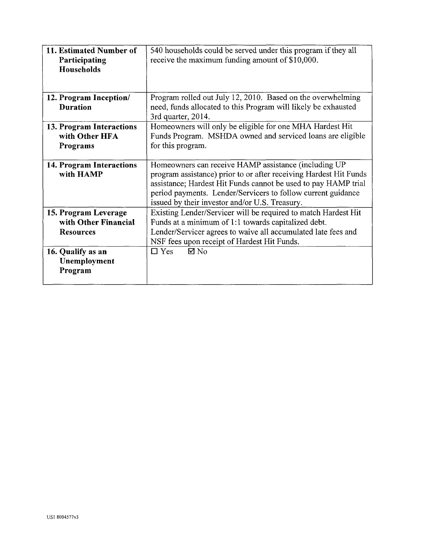| 11. Estimated Number of<br>Participating<br>Households           | 540 households could be served under this program if they all<br>receive the maximum funding amount of \$10,000.                                                                                                                                                                                              |
|------------------------------------------------------------------|---------------------------------------------------------------------------------------------------------------------------------------------------------------------------------------------------------------------------------------------------------------------------------------------------------------|
| 12. Program Inception/<br><b>Duration</b>                        | Program rolled out July 12, 2010. Based on the overwhelming<br>need, funds allocated to this Program will likely be exhausted<br>3rd quarter, 2014.                                                                                                                                                           |
| 13. Program Interactions<br>with Other HFA<br>Programs           | Homeowners will only be eligible for one MHA Hardest Hit<br>Funds Program. MSHDA owned and serviced loans are eligible<br>for this program.                                                                                                                                                                   |
| 14. Program Interactions<br>with HAMP                            | Homeowners can receive HAMP assistance (including UP<br>program assistance) prior to or after receiving Hardest Hit Funds<br>assistance; Hardest Hit Funds cannot be used to pay HAMP trial<br>period payments. Lender/Servicers to follow current guidance<br>issued by their investor and/or U.S. Treasury. |
| 15. Program Leverage<br>with Other Financial<br><b>Resources</b> | Existing Lender/Servicer will be required to match Hardest Hit<br>Funds at a minimum of 1:1 towards capitalized debt.<br>Lender/Servicer agrees to waive all accumulated late fees and<br>NSF fees upon receipt of Hardest Hit Funds.                                                                         |
| 16. Qualify as an<br>Unemployment<br>Program                     | $\boxtimes$ No<br>$\Box$ Yes                                                                                                                                                                                                                                                                                  |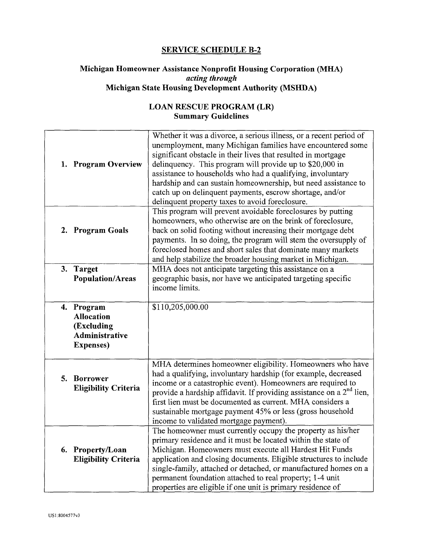## **SERVICE SCHEDULE B-2**

## **Michigan Homeowner Assistance Nonprofit Housing Corporation (MHA)**  *acting through*  **Michigan State Housing Development Authority (MSHDA)**

# **LOAN RESCUE PROGRAM (LR) Summary Guidelines**

| <b>Program Overview</b><br>1.                                                                  | Whether it was a divorce, a serious illness, or a recent period of<br>unemployment, many Michigan families have encountered some<br>significant obstacle in their lives that resulted in mortgage<br>delinquency. This program will provide up to \$20,000 in<br>assistance to households who had a qualifying, involuntary<br>hardship and can sustain homeownership, but need assistance to<br>catch up on delinquent payments, escrow shortage, and/or |
|------------------------------------------------------------------------------------------------|-----------------------------------------------------------------------------------------------------------------------------------------------------------------------------------------------------------------------------------------------------------------------------------------------------------------------------------------------------------------------------------------------------------------------------------------------------------|
| 2. Program Goals                                                                               | delinquent property taxes to avoid foreclosure.<br>This program will prevent avoidable foreclosures by putting<br>homeowners, who otherwise are on the brink of foreclosure,<br>back on solid footing without increasing their mortgage debt<br>payments. In so doing, the program will stem the oversupply of<br>foreclosed homes and short sales that dominate many markets<br>and help stabilize the broader housing market in Michigan.               |
| 3. Target<br><b>Population/Areas</b>                                                           | MHA does not anticipate targeting this assistance on a<br>geographic basis, nor have we anticipated targeting specific<br>income limits.                                                                                                                                                                                                                                                                                                                  |
| Program<br>4.<br><b>Allocation</b><br>(Excluding<br><b>Administrative</b><br><b>Expenses</b> ) | \$110,205,000.00                                                                                                                                                                                                                                                                                                                                                                                                                                          |
| 5. Borrower<br><b>Eligibility Criteria</b>                                                     | MHA determines homeowner eligibility. Homeowners who have<br>had a qualifying, involuntary hardship (for example, decreased<br>income or a catastrophic event). Homeowners are required to<br>provide a hardship affidavit. If providing assistance on a $2nd$ lien,<br>first lien must be documented as current. MHA considers a<br>sustainable mortgage payment 45% or less (gross household<br>income to validated mortgage payment).                  |
| Property/Loan<br>6.<br><b>Eligibility Criteria</b>                                             | The homeowner must currently occupy the property as his/her<br>primary residence and it must be located within the state of<br>Michigan. Homeowners must execute all Hardest Hit Funds<br>application and closing documents. Eligible structures to include<br>single-family, attached or detached, or manufactured homes on a<br>permanent foundation attached to real property; 1-4 unit<br>properties are eligible if one unit is primary residence of |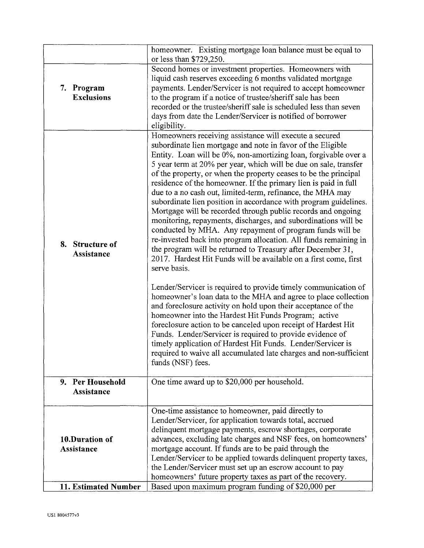|                                 | homeowner. Existing mortgage loan balance must be equal to<br>or less than \$729,250.                                                                                                                                                                                                                                                                                                                                                                                                                                                                                                                                                                                                                                                                                                                                                                                                                                                                                                                                                                                                                                                                           |
|---------------------------------|-----------------------------------------------------------------------------------------------------------------------------------------------------------------------------------------------------------------------------------------------------------------------------------------------------------------------------------------------------------------------------------------------------------------------------------------------------------------------------------------------------------------------------------------------------------------------------------------------------------------------------------------------------------------------------------------------------------------------------------------------------------------------------------------------------------------------------------------------------------------------------------------------------------------------------------------------------------------------------------------------------------------------------------------------------------------------------------------------------------------------------------------------------------------|
| 7. Program<br><b>Exclusions</b> | Second homes or investment properties. Homeowners with<br>liquid cash reserves exceeding 6 months validated mortgage<br>payments. Lender/Servicer is not required to accept homeowner<br>to the program if a notice of trustee/sheriff sale has been<br>recorded or the trustee/sheriff sale is scheduled less than seven<br>days from date the Lender/Servicer is notified of borrower<br>eligibility.                                                                                                                                                                                                                                                                                                                                                                                                                                                                                                                                                                                                                                                                                                                                                         |
| 8. Structure of<br>Assistance   | Homeowners receiving assistance will execute a secured<br>subordinate lien mortgage and note in favor of the Eligible<br>Entity. Loan will be 0%, non-amortizing loan, forgivable over a<br>5 year term at 20% per year, which will be due on sale, transfer<br>of the property, or when the property ceases to be the principal<br>residence of the homeowner. If the primary lien is paid in full<br>due to a no cash out, limited-term, refinance, the MHA may<br>subordinate lien position in accordance with program guidelines.<br>Mortgage will be recorded through public records and ongoing<br>monitoring, repayments, discharges, and subordinations will be<br>conducted by MHA. Any repayment of program funds will be<br>re-invested back into program allocation. All funds remaining in<br>the program will be returned to Treasury after December 31,<br>2017. Hardest Hit Funds will be available on a first come, first<br>serve basis.<br>Lender/Servicer is required to provide timely communication of<br>homeowner's loan data to the MHA and agree to place collection<br>and foreclosure activity on hold upon their acceptance of the |
|                                 | homeowner into the Hardest Hit Funds Program; active<br>foreclosure action to be canceled upon receipt of Hardest Hit<br>Funds. Lender/Servicer is required to provide evidence of<br>timely application of Hardest Hit Funds. Lender/Servicer is<br>required to waive all accumulated late charges and non-sufficient<br>funds (NSF) fees.                                                                                                                                                                                                                                                                                                                                                                                                                                                                                                                                                                                                                                                                                                                                                                                                                     |
| 9. Per Household<br>Assistance  | One time award up to \$20,000 per household.                                                                                                                                                                                                                                                                                                                                                                                                                                                                                                                                                                                                                                                                                                                                                                                                                                                                                                                                                                                                                                                                                                                    |
| 10.Duration of<br>Assistance    | One-time assistance to homeowner, paid directly to<br>Lender/Servicer, for application towards total, accrued<br>delinquent mortgage payments, escrow shortages, corporate<br>advances, excluding late charges and NSF fees, on homeowners'<br>mortgage account. If funds are to be paid through the<br>Lender/Servicer to be applied towards delinquent property taxes,<br>the Lender/Servicer must set up an escrow account to pay<br>homeowners' future property taxes as part of the recovery.                                                                                                                                                                                                                                                                                                                                                                                                                                                                                                                                                                                                                                                              |
| 11. Estimated Number            | Based upon maximum program funding of \$20,000 per                                                                                                                                                                                                                                                                                                                                                                                                                                                                                                                                                                                                                                                                                                                                                                                                                                                                                                                                                                                                                                                                                                              |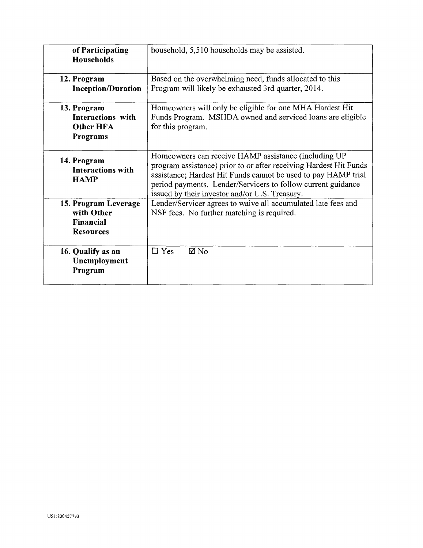| of Participating<br><b>Households</b>                                   | household, 5,510 households may be assisted.                                                                                                                                                                                                                                                                  |
|-------------------------------------------------------------------------|---------------------------------------------------------------------------------------------------------------------------------------------------------------------------------------------------------------------------------------------------------------------------------------------------------------|
| 12. Program<br><b>Inception/Duration</b>                                | Based on the overwhelming need, funds allocated to this<br>Program will likely be exhausted 3rd quarter, 2014.                                                                                                                                                                                                |
| 13. Program<br><b>Interactions with</b><br><b>Other HFA</b><br>Programs | Homeowners will only be eligible for one MHA Hardest Hit<br>Funds Program. MSHDA owned and serviced loans are eligible<br>for this program.                                                                                                                                                                   |
| 14. Program<br><b>Interactions with</b><br><b>HAMP</b>                  | Homeowners can receive HAMP assistance (including UP<br>program assistance) prior to or after receiving Hardest Hit Funds<br>assistance; Hardest Hit Funds cannot be used to pay HAMP trial<br>period payments. Lender/Servicers to follow current guidance<br>issued by their investor and/or U.S. Treasury. |
| 15. Program Leverage<br>with Other<br>Financial<br><b>Resources</b>     | Lender/Servicer agrees to waive all accumulated late fees and<br>NSF fees. No further matching is required.                                                                                                                                                                                                   |
| 16. Qualify as an<br>Unemployment<br>Program                            | $\Box$ Yes<br>⊠ No                                                                                                                                                                                                                                                                                            |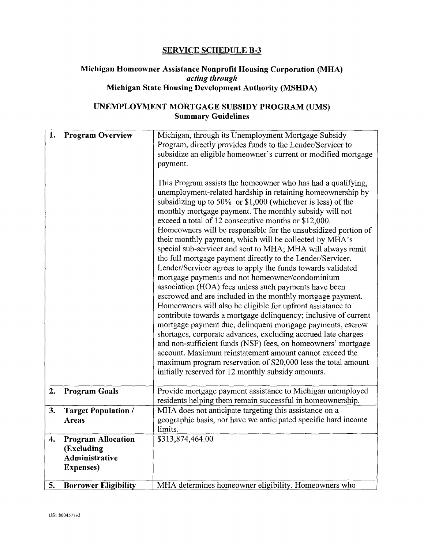#### **SERVICE SCHEDULE B-3**

#### **Michigan Homeowner Assistance Nonprofit Housing Corporation (MHA)**  *acting through*  **Michigan State Housing Development Authority (MSHDA)**

## **UNEMPLOYMENT MORTGAGE SUBSIDY PROGRAM (UMS) Summary Guidelines**

| 1. | <b>Program Overview</b>                                                               | Michigan, through its Unemployment Mortgage Subsidy<br>Program, directly provides funds to the Lender/Servicer to<br>subsidize an eligible homeowner's current or modified mortgage<br>payment.<br>This Program assists the homeowner who has had a qualifying,<br>unemployment-related hardship in retaining homeownership by<br>subsidizing up to 50% or $$1,000$ (whichever is less) of the<br>monthly mortgage payment. The monthly subsidy will not<br>exceed a total of 12 consecutive months or \$12,000.<br>Homeowners will be responsible for the unsubsidized portion of<br>their monthly payment, which will be collected by MHA's<br>special sub-servicer and sent to MHA; MHA will always remit<br>the full mortgage payment directly to the Lender/Servicer.<br>Lender/Servicer agrees to apply the funds towards validated<br>mortgage payments and not homeowner/condominium<br>association (HOA) fees unless such payments have been<br>escrowed and are included in the monthly mortgage payment.<br>Homeowners will also be eligible for upfront assistance to<br>contribute towards a mortgage delinquency; inclusive of current<br>mortgage payment due, delinquent mortgage payments, escrow<br>shortages, corporate advances, excluding accrued late charges<br>and non-sufficient funds (NSF) fees, on homeowners' mortgage<br>account. Maximum reinstatement amount cannot exceed the<br>maximum program reservation of \$20,000 less the total amount<br>initially reserved for 12 monthly subsidy amounts. |
|----|---------------------------------------------------------------------------------------|---------------------------------------------------------------------------------------------------------------------------------------------------------------------------------------------------------------------------------------------------------------------------------------------------------------------------------------------------------------------------------------------------------------------------------------------------------------------------------------------------------------------------------------------------------------------------------------------------------------------------------------------------------------------------------------------------------------------------------------------------------------------------------------------------------------------------------------------------------------------------------------------------------------------------------------------------------------------------------------------------------------------------------------------------------------------------------------------------------------------------------------------------------------------------------------------------------------------------------------------------------------------------------------------------------------------------------------------------------------------------------------------------------------------------------------------------------------------------------------------------------------------------------------|
| 2. | <b>Program Goals</b>                                                                  | Provide mortgage payment assistance to Michigan unemployed<br>residents helping them remain successful in homeownership.                                                                                                                                                                                                                                                                                                                                                                                                                                                                                                                                                                                                                                                                                                                                                                                                                                                                                                                                                                                                                                                                                                                                                                                                                                                                                                                                                                                                              |
| 3. | <b>Target Population /</b><br><b>Areas</b>                                            | MHA does not anticipate targeting this assistance on a<br>geographic basis, nor have we anticipated specific hard income<br>limits.                                                                                                                                                                                                                                                                                                                                                                                                                                                                                                                                                                                                                                                                                                                                                                                                                                                                                                                                                                                                                                                                                                                                                                                                                                                                                                                                                                                                   |
| 4. | <b>Program Allocation</b><br>(Excluding<br><b>Administrative</b><br><b>Expenses</b> ) | \$313,874,464.00                                                                                                                                                                                                                                                                                                                                                                                                                                                                                                                                                                                                                                                                                                                                                                                                                                                                                                                                                                                                                                                                                                                                                                                                                                                                                                                                                                                                                                                                                                                      |
| 5. | <b>Borrower Eligibility</b>                                                           | MHA determines homeowner eligibility. Homeowners who                                                                                                                                                                                                                                                                                                                                                                                                                                                                                                                                                                                                                                                                                                                                                                                                                                                                                                                                                                                                                                                                                                                                                                                                                                                                                                                                                                                                                                                                                  |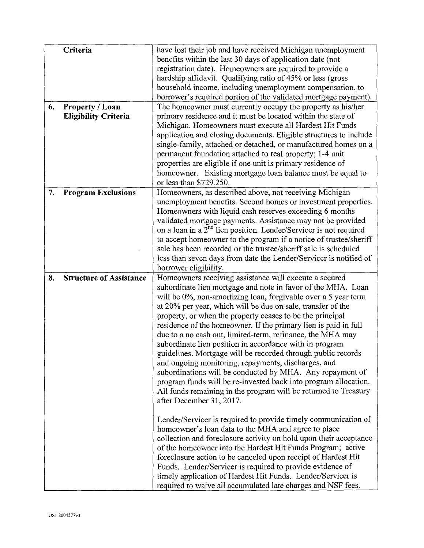| 6. | Criteria<br>Property / Loan<br><b>Eligibility Criteria</b> | have lost their job and have received Michigan unemployment<br>benefits within the last 30 days of application date (not<br>registration date). Homeowners are required to provide a<br>hardship affidavit. Qualifying ratio of 45% or less (gross<br>household income, including unemployment compensation, to<br>borrower's required portion of the validated mortgage payment).<br>The homeowner must currently occupy the property as his/her<br>primary residence and it must be located within the state of<br>Michigan. Homeowners must execute all Hardest Hit Funds<br>application and closing documents. Eligible structures to include<br>single-family, attached or detached, or manufactured homes on a<br>permanent foundation attached to real property; 1-4 unit                                                                                       |
|----|------------------------------------------------------------|------------------------------------------------------------------------------------------------------------------------------------------------------------------------------------------------------------------------------------------------------------------------------------------------------------------------------------------------------------------------------------------------------------------------------------------------------------------------------------------------------------------------------------------------------------------------------------------------------------------------------------------------------------------------------------------------------------------------------------------------------------------------------------------------------------------------------------------------------------------------|
|    |                                                            | properties are eligible if one unit is primary residence of<br>homeowner. Existing mortgage loan balance must be equal to<br>or less than \$729,250.                                                                                                                                                                                                                                                                                                                                                                                                                                                                                                                                                                                                                                                                                                                   |
| 7. | <b>Program Exclusions</b>                                  | Homeowners, as described above, not receiving Michigan<br>unemployment benefits. Second homes or investment properties.<br>Homeowners with liquid cash reserves exceeding 6 months<br>validated mortgage payments. Assistance may not be provided<br>on a loan in a $2^{nd}$ lien position. Lender/Servicer is not required<br>to accept homeowner to the program if a notice of trustee/sheriff<br>sale has been recorded or the trustee/sheriff sale is scheduled<br>less than seven days from date the Lender/Servicer is notified of<br>borrower eligibility.                                                                                                                                                                                                                                                                                                      |
| 8. | <b>Structure of Assistance</b>                             | Homeowners receiving assistance will execute a secured<br>subordinate lien mortgage and note in favor of the MHA. Loan<br>will be 0%, non-amortizing loan, forgivable over a 5 year term<br>at 20% per year, which will be due on sale, transfer of the<br>property, or when the property ceases to be the principal<br>residence of the homeowner. If the primary lien is paid in full<br>due to a no cash out, limited-term, refinance, the MHA may<br>subordinate lien position in accordance with in program<br>guidelines. Mortgage will be recorded through public records<br>and ongoing monitoring, repayments, discharges, and<br>subordinations will be conducted by MHA. Any repayment of<br>program funds will be re-invested back into program allocation.<br>All funds remaining in the program will be returned to Treasury<br>after December 31, 2017. |
|    |                                                            | Lender/Servicer is required to provide timely communication of<br>homeowner's loan data to the MHA and agree to place<br>collection and foreclosure activity on hold upon their acceptance<br>of the homeowner into the Hardest Hit Funds Program; active<br>foreclosure action to be canceled upon receipt of Hardest Hit<br>Funds. Lender/Servicer is required to provide evidence of<br>timely application of Hardest Hit Funds. Lender/Servicer is<br>required to waive all accumulated late charges and NSF fees.                                                                                                                                                                                                                                                                                                                                                 |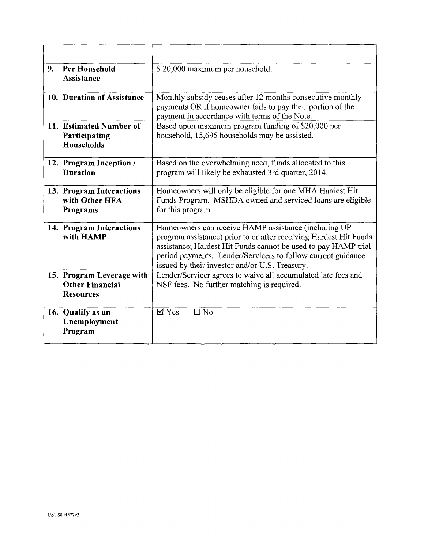| 9 <sub>1</sub> | <b>Per Household</b><br><b>Assistance</b>                               | \$20,000 maximum per household.                                                                                                                                                                                                                                                                               |
|----------------|-------------------------------------------------------------------------|---------------------------------------------------------------------------------------------------------------------------------------------------------------------------------------------------------------------------------------------------------------------------------------------------------------|
|                | 10. Duration of Assistance                                              | Monthly subsidy ceases after 12 months consecutive monthly<br>payments OR if homeowner fails to pay their portion of the<br>payment in accordance with terms of the Note.                                                                                                                                     |
|                | 11. Estimated Number of<br>Participating<br><b>Households</b>           | Based upon maximum program funding of \$20,000 per<br>household, 15,695 households may be assisted.                                                                                                                                                                                                           |
|                | 12. Program Inception /<br><b>Duration</b>                              | Based on the overwhelming need, funds allocated to this<br>program will likely be exhausted 3rd quarter, 2014.                                                                                                                                                                                                |
|                | 13. Program Interactions<br>with Other HFA<br>Programs                  | Homeowners will only be eligible for one MHA Hardest Hit<br>Funds Program. MSHDA owned and serviced loans are eligible<br>for this program.                                                                                                                                                                   |
|                | 14. Program Interactions<br>with HAMP                                   | Homeowners can receive HAMP assistance (including UP<br>program assistance) prior to or after receiving Hardest Hit Funds<br>assistance; Hardest Hit Funds cannot be used to pay HAMP trial<br>period payments. Lender/Servicers to follow current guidance<br>issued by their investor and/or U.S. Treasury. |
|                | 15. Program Leverage with<br><b>Other Financial</b><br><b>Resources</b> | Lender/Servicer agrees to waive all accumulated late fees and<br>NSF fees. No further matching is required.                                                                                                                                                                                                   |
|                | 16. Qualify as an<br>Unemployment<br>Program                            | $\boxtimes$ Yes<br>$\square$ No                                                                                                                                                                                                                                                                               |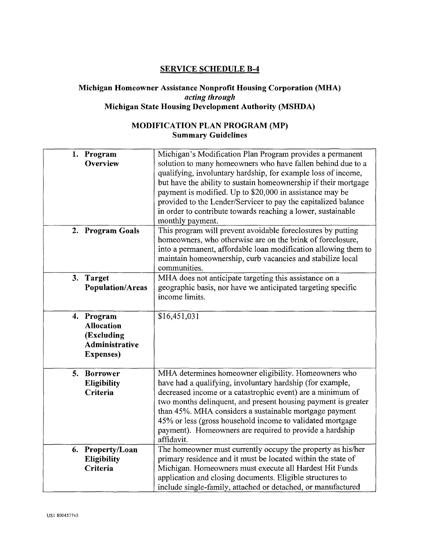#### **SERVICE SCHEDULE B-4**

#### **Michigan Homeowner Assistance Nonprofit Housing Corporation (MHA)**  *acting through*  **Michigan State Housing Development Authority (MSHDA)**

# **MODIFICATION PLAN PROGRAM (MP) Summary Guidelines**

| 1. Program<br>Overview                                                               | Michigan's Modification Plan Program provides a permanent<br>solution to many homeowners who have fallen behind due to a<br>qualifying, involuntary hardship, for example loss of income,<br>but have the ability to sustain homeownership if their mortgage<br>payment is modified. Up to \$20,000 in assistance may be<br>provided to the Lender/Servicer to pay the capitalized balance<br>in order to contribute towards reaching a lower, sustainable<br>monthly payment. |
|--------------------------------------------------------------------------------------|--------------------------------------------------------------------------------------------------------------------------------------------------------------------------------------------------------------------------------------------------------------------------------------------------------------------------------------------------------------------------------------------------------------------------------------------------------------------------------|
| 2. Program Goals                                                                     | This program will prevent avoidable foreclosures by putting<br>homeowners, who otherwise are on the brink of foreclosure,<br>into a permanent, affordable loan modification allowing them to<br>maintain homeownership, curb vacancies and stabilize local<br>communities.                                                                                                                                                                                                     |
| 3. Target<br><b>Population/Areas</b>                                                 | MHA does not anticipate targeting this assistance on a<br>geographic basis, nor have we anticipated targeting specific<br>income limits.                                                                                                                                                                                                                                                                                                                                       |
| 4. Program<br><b>Allocation</b><br>(Excluding<br>Administrative<br><b>Expenses</b> ) | \$16,451,031                                                                                                                                                                                                                                                                                                                                                                                                                                                                   |
| 5. Borrower<br><b>Eligibility</b><br>Criteria                                        | MHA determines homeowner eligibility. Homeowners who<br>have had a qualifying, involuntary hardship (for example,<br>decreased income or a catastrophic event) are a minimum of<br>two months delinquent, and present housing payment is greater<br>than 45%. MHA considers a sustainable mortgage payment<br>45% or less (gross household income to validated mortgage<br>payment). Homeowners are required to provide a hardship<br>affidavit.                               |
| 6. Property/Loan<br><b>Eligibility</b><br>Criteria                                   | The homeowner must currently occupy the property as his/her<br>primary residence and it must be located within the state of<br>Michigan. Homeowners must execute all Hardest Hit Funds<br>application and closing documents. Eligible structures to<br>include single-family, attached or detached, or manufactured                                                                                                                                                            |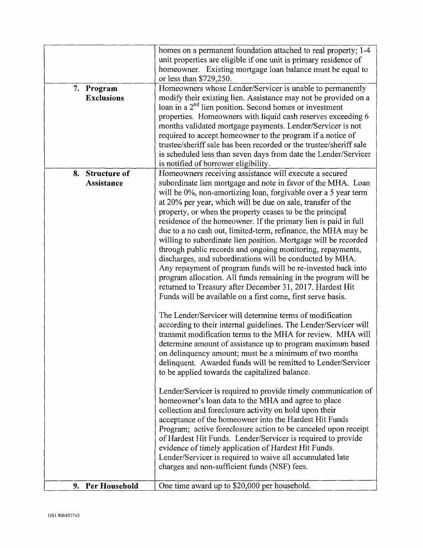| 7. Program<br><b>Exclusions</b> | homes on a permanent foundation attached to real property; 1-4<br>unit properties are eligible if one unit is primary residence of<br>homeowner. Existing mortgage loan balance must be equal to<br>or less than \$729,250.<br>Homeowners whose Lender/Servicer is unable to permanently<br>modify their existing lien. Assistance may not be provided on a<br>loan in a $2^{nd}$ lien position. Second homes or investment<br>properties. Homeowners with liquid cash reserves exceeding 6<br>months validated mortgage payments. Lender/Servicer is not<br>required to accept homeowner to the program if a notice of<br>trustee/sheriff sale has been recorded or the trustee/sheriff sale<br>is scheduled less than seven days from date the Lender/Servicer<br>is notified of borrower eligibility.                                                                                                                                                                                                                                                                                                                                                                                                                                                                                                                                                                                                                                                                                                                                                                                                                                                                                                                                     |
|---------------------------------|----------------------------------------------------------------------------------------------------------------------------------------------------------------------------------------------------------------------------------------------------------------------------------------------------------------------------------------------------------------------------------------------------------------------------------------------------------------------------------------------------------------------------------------------------------------------------------------------------------------------------------------------------------------------------------------------------------------------------------------------------------------------------------------------------------------------------------------------------------------------------------------------------------------------------------------------------------------------------------------------------------------------------------------------------------------------------------------------------------------------------------------------------------------------------------------------------------------------------------------------------------------------------------------------------------------------------------------------------------------------------------------------------------------------------------------------------------------------------------------------------------------------------------------------------------------------------------------------------------------------------------------------------------------------------------------------------------------------------------------------|
| 8. Structure of<br>Assistance   | Homeowners receiving assistance will execute a secured<br>subordinate lien mortgage and note in favor of the MHA. Loan<br>will be 0%, non-amortizing loan, forgivable over a 5 year term<br>at 20% per year, which will be due on sale, transfer of the<br>property, or when the property ceases to be the principal<br>residence of the homeowner. If the primary lien is paid in full<br>due to a no cash out, limited-term, refinance, the MHA may be<br>willing to subordinate lien position. Mortgage will be recorded<br>through public records and ongoing monitoring, repayments,<br>discharges, and subordinations will be conducted by MHA.<br>Any repayment of program funds will be re-invested back into<br>program allocation. All funds remaining in the program will be<br>returned to Treasury after December 31, 2017. Hardest Hit<br>Funds will be available on a first come, first serve basis.<br>The Lender/Servicer will determine terms of modification<br>according to their internal guidelines. The Lender/Servicer will<br>transmit modification terms to the MHA for review. MHA will<br>determine amount of assistance up to program maximum based<br>on delinquency amount; must be a minimum of two months<br>delinquent. Awarded funds will be remitted to Lender/Servicer<br>to be applied towards the capitalized balance.<br>Lender/Servicer is required to provide timely communication of<br>homeowner's loan data to the MHA and agree to place<br>collection and foreclosure activity on hold upon their<br>acceptance of the homeowner into the Hardest Hit Funds<br>Program; active foreclosure action to be canceled upon receipt<br>of Hardest Hit Funds. Lender/Servicer is required to provide |
| 9. Per Household                | evidence of timely application of Hardest Hit Funds.<br>Lender/Servicer is required to waive all accumulated late<br>charges and non-sufficient funds (NSF) fees.<br>One time award up to \$20,000 per household.                                                                                                                                                                                                                                                                                                                                                                                                                                                                                                                                                                                                                                                                                                                                                                                                                                                                                                                                                                                                                                                                                                                                                                                                                                                                                                                                                                                                                                                                                                                            |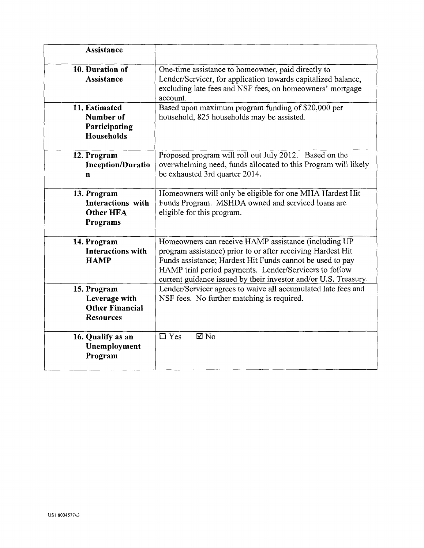| <b>Assistance</b>                                                          |                                                                                                                                                                                                                                                                                                               |
|----------------------------------------------------------------------------|---------------------------------------------------------------------------------------------------------------------------------------------------------------------------------------------------------------------------------------------------------------------------------------------------------------|
| 10. Duration of<br><b>Assistance</b>                                       | One-time assistance to homeowner, paid directly to<br>Lender/Servicer, for application towards capitalized balance,<br>excluding late fees and NSF fees, on homeowners' mortgage<br>account.                                                                                                                  |
| 11. Estimated<br>Number of<br>Participating<br>Households                  | Based upon maximum program funding of \$20,000 per<br>household, 825 households may be assisted.                                                                                                                                                                                                              |
| 12. Program<br><b>Inception/Duratio</b><br>n                               | Proposed program will roll out July 2012. Based on the<br>overwhelming need, funds allocated to this Program will likely<br>be exhausted 3rd quarter 2014.                                                                                                                                                    |
| 13. Program<br>Interactions with<br><b>Other HFA</b><br>Programs           | Homeowners will only be eligible for one MHA Hardest Hit<br>Funds Program. MSHDA owned and serviced loans are<br>eligible for this program.                                                                                                                                                                   |
| 14. Program<br><b>Interactions with</b><br><b>HAMP</b>                     | Homeowners can receive HAMP assistance (including UP<br>program assistance) prior to or after receiving Hardest Hit<br>Funds assistance; Hardest Hit Funds cannot be used to pay<br>HAMP trial period payments. Lender/Servicers to follow<br>current guidance issued by their investor and/or U.S. Treasury. |
| 15. Program<br>Leverage with<br><b>Other Financial</b><br><b>Resources</b> | Lender/Servicer agrees to waive all accumulated late fees and<br>NSF fees. No further matching is required.                                                                                                                                                                                                   |
| 16. Qualify as an<br>Unemployment<br>Program                               | $\overline{\boxtimes}$ No<br>$\Box$ Yes                                                                                                                                                                                                                                                                       |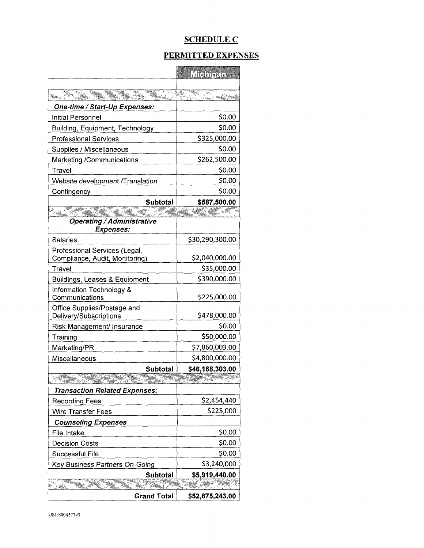# SCHEDULE C

#### PERMITTED EXPENSES

|                                                       | <b>TRIDEEDIN</b>                 |
|-------------------------------------------------------|----------------------------------|
| <u> De Maria (2003)</u><br>an<br>Malaysia<br>ta di S  | rtaalojalee <sup>ka p</sup> inne |
| One-time / Start-Up Expenses:                         |                                  |
| Initial Personnel                                     | \$0.00                           |
| Building, Equipment, Technology                       | \$0.00                           |
| <b>Professional Services</b>                          | \$325,000.00                     |
| Supplies / Miscellaneous                              | \$0.00                           |
| Marketing /Communications                             | \$262,500.00                     |
| Travel                                                | \$0.00                           |
| Website development /Translation                      | \$0.00                           |
| Contingency                                           | \$0.00                           |
| Subtotal                                              | \$587,500.00                     |
| <sup>197</sup> M                                      | the Same County                  |
| <b>Operating / Administrative</b>                     |                                  |
| <b>Expenses:</b>                                      |                                  |
| Salaries                                              | \$30,290,300.00                  |
| Professional Services (Legal,                         |                                  |
| Compliance, Audit, Monitoring)                        | \$2,040,000.00                   |
| Travel                                                | \$35,000.00                      |
| <b>Buildings, Leases &amp; Equipment</b>              | \$390,000.00                     |
| Information Technology &<br>Communications            | \$225,000.00                     |
| Office Supplies/Postage and<br>Delivery/Subscriptions | \$478,000.00                     |
| Risk Management/ Insurance                            | \$0.00                           |
| Training                                              | \$50,000.00                      |
| Marketing/PR                                          | \$7,860,003.00                   |
| Miscellaneous                                         | \$4,800,000.00                   |
| Subtotal                                              | \$46,168,303.00                  |
| ERITA ETA ETA ETA ERA<br>33                           |                                  |
| <b>Transaction Related Expenses:</b>                  |                                  |
| <b>Recording Fees</b>                                 | \$2,454,440                      |
| <b>Wire Transfer Fees</b>                             | \$225,000                        |
| <b>Counseling Expenses</b>                            |                                  |
| File Intake                                           | \$0.00                           |
| <b>Decision Costs</b>                                 | \$0.00                           |
| Successful File                                       | \$0.00                           |
| Key Business Partners On-Going                        | \$3,240,000                      |
| Subtotal                                              | \$5,919,440.00                   |
|                                                       | ER <del>IN</del> (19             |
| <b>Grand Total</b>                                    | \$52,675,243.00                  |